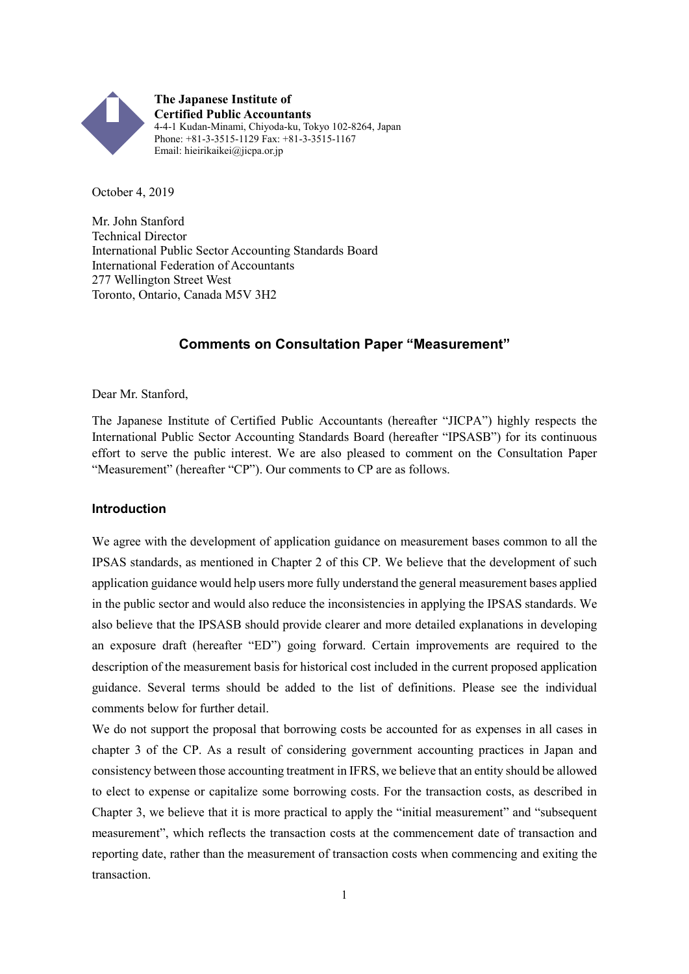

October 4, 2019

Mr. John Stanford Technical Director International Public Sector Accounting Standards Board International Federation of Accountants 277 Wellington Street West Toronto, Ontario, Canada M5V 3H2

## **Comments on Consultation Paper "Measurement"**

Dear Mr. Stanford,

The Japanese Institute of Certified Public Accountants (hereafter "JICPA") highly respects the International Public Sector Accounting Standards Board (hereafter "IPSASB") for its continuous effort to serve the public interest. We are also pleased to comment on the Consultation Paper "Measurement" (hereafter "CP"). Our comments to CP are as follows.

#### **Introduction**

We agree with the development of application guidance on measurement bases common to all the IPSAS standards, as mentioned in Chapter 2 of this CP. We believe that the development of such application guidance would help users more fully understand the general measurement bases applied in the public sector and would also reduce the inconsistencies in applying the IPSAS standards. We also believe that the IPSASB should provide clearer and more detailed explanations in developing an exposure draft (hereafter "ED") going forward. Certain improvements are required to the description of the measurement basis for historical cost included in the current proposed application guidance. Several terms should be added to the list of definitions. Please see the individual comments below for further detail.

We do not support the proposal that borrowing costs be accounted for as expenses in all cases in chapter 3 of the CP. As a result of considering government accounting practices in Japan and consistency between those accounting treatment in IFRS, we believe that an entity should be allowed to elect to expense or capitalize some borrowing costs. For the transaction costs, as described in Chapter 3, we believe that it is more practical to apply the "initial measurement" and "subsequent measurement", which reflects the transaction costs at the commencement date of transaction and reporting date, rather than the measurement of transaction costs when commencing and exiting the transaction.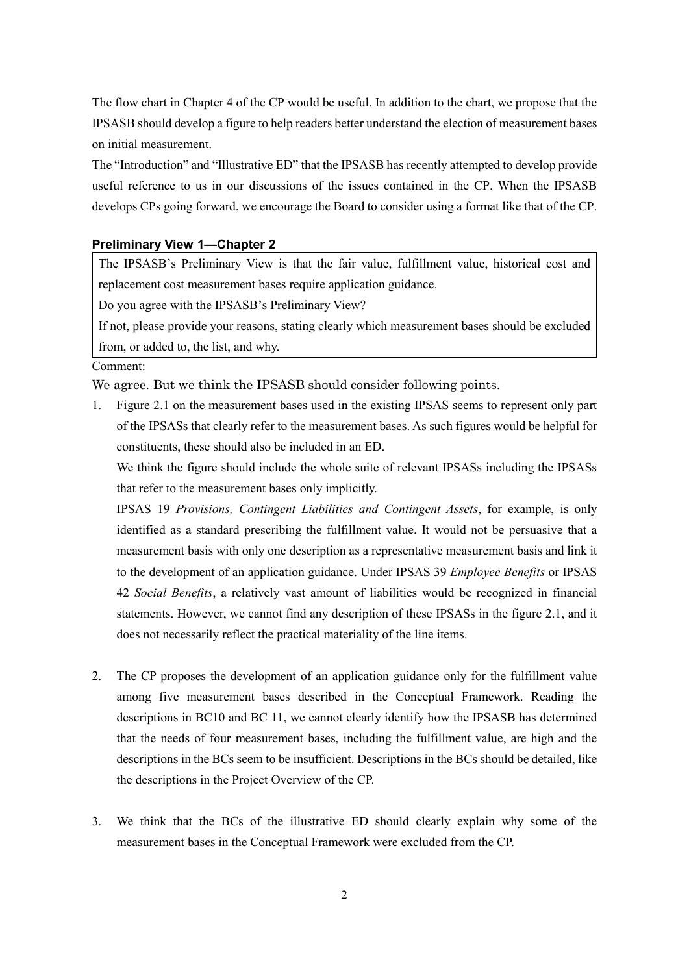The flow chart in Chapter 4 of the CP would be useful. In addition to the chart, we propose that the IPSASB should develop a figure to help readers better understand the election of measurement bases on initial measurement.

The "Introduction" and "Illustrative ED" that the IPSASB has recently attempted to develop provide useful reference to us in our discussions of the issues contained in the CP. When the IPSASB develops CPs going forward, we encourage the Board to consider using a format like that of the CP.

### **Preliminary View 1—Chapter 2**

The IPSASB's Preliminary View is that the fair value, fulfillment value, historical cost and replacement cost measurement bases require application guidance.

Do you agree with the IPSASB's Preliminary View?

If not, please provide your reasons, stating clearly which measurement bases should be excluded from, or added to, the list, and why.

#### Comment:

We agree. But we think the IPSASB should consider following points.

1. Figure 2.1 on the measurement bases used in the existing IPSAS seems to represent only part of the IPSASs that clearly refer to the measurement bases. As such figures would be helpful for constituents, these should also be included in an ED.

We think the figure should include the whole suite of relevant IPSASs including the IPSASs that refer to the measurement bases only implicitly.

IPSAS 19 *Provisions, Contingent Liabilities and Contingent Assets*, for example, is only identified as a standard prescribing the fulfillment value. It would not be persuasive that a measurement basis with only one description as a representative measurement basis and link it to the development of an application guidance. Under IPSAS 39 *Employee Benefits* or IPSAS 42 *Social Benefits*, a relatively vast amount of liabilities would be recognized in financial statements. However, we cannot find any description of these IPSASs in the figure 2.1, and it does not necessarily reflect the practical materiality of the line items.

- 2. The CP proposes the development of an application guidance only for the fulfillment value among five measurement bases described in the Conceptual Framework. Reading the descriptions in BC10 and BC 11, we cannot clearly identify how the IPSASB has determined that the needs of four measurement bases, including the fulfillment value, are high and the descriptions in the BCs seem to be insufficient. Descriptions in the BCs should be detailed, like the descriptions in the Project Overview of the CP.
- 3. We think that the BCs of the illustrative ED should clearly explain why some of the measurement bases in the Conceptual Framework were excluded from the CP.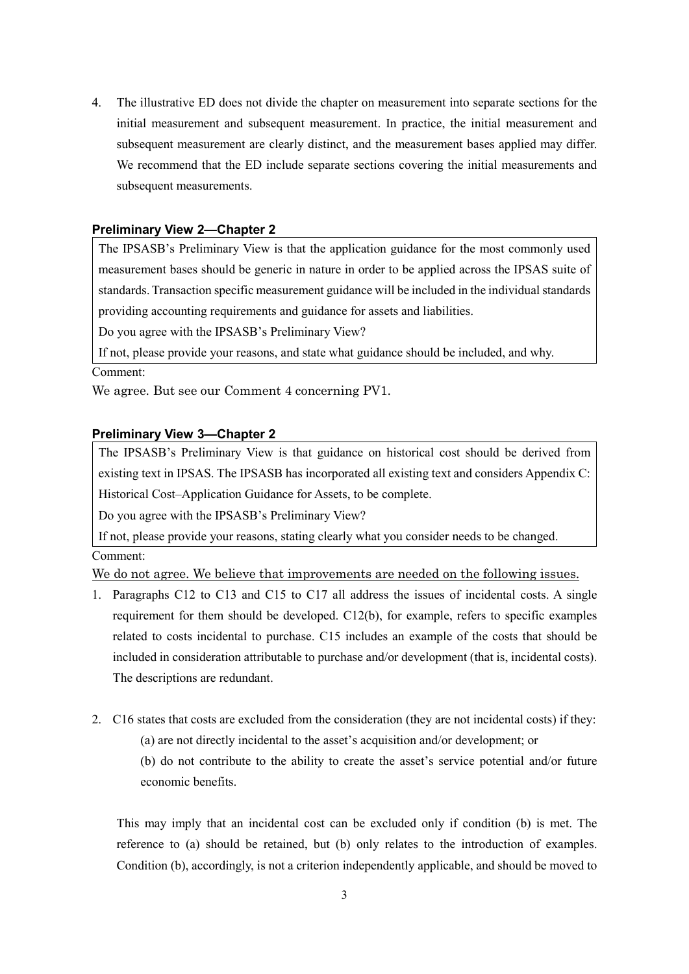4. The illustrative ED does not divide the chapter on measurement into separate sections for the initial measurement and subsequent measurement. In practice, the initial measurement and subsequent measurement are clearly distinct, and the measurement bases applied may differ. We recommend that the ED include separate sections covering the initial measurements and subsequent measurements.

### **Preliminary View 2—Chapter 2**

The IPSASB's Preliminary View is that the application guidance for the most commonly used measurement bases should be generic in nature in order to be applied across the IPSAS suite of standards. Transaction specific measurement guidance will be included in the individual standards providing accounting requirements and guidance for assets and liabilities.

Do you agree with the IPSASB's Preliminary View?

If not, please provide your reasons, and state what guidance should be included, and why.

### Comment:

We agree. But see our Comment 4 concerning PV1.

### **Preliminary View 3—Chapter 2**

The IPSASB's Preliminary View is that guidance on historical cost should be derived from existing text in IPSAS. The IPSASB has incorporated all existing text and considers Appendix C: Historical Cost–Application Guidance for Assets, to be complete.

Do you agree with the IPSASB's Preliminary View?

If not, please provide your reasons, stating clearly what you consider needs to be changed. Comment:

We do not agree. We believe that improvements are needed on the following issues.

- 1. Paragraphs C12 to C13 and C15 to C17 all address the issues of incidental costs. A single requirement for them should be developed. C12(b), for example, refers to specific examples related to costs incidental to purchase. C15 includes an example of the costs that should be included in consideration attributable to purchase and/or development (that is, incidental costs). The descriptions are redundant.
- 2. C16 states that costs are excluded from the consideration (they are not incidental costs) if they:
	- (a) are not directly incidental to the asset's acquisition and/or development; or

(b) do not contribute to the ability to create the asset's service potential and/or future economic benefits.

This may imply that an incidental cost can be excluded only if condition (b) is met. The reference to (a) should be retained, but (b) only relates to the introduction of examples. Condition (b), accordingly, is not a criterion independently applicable, and should be moved to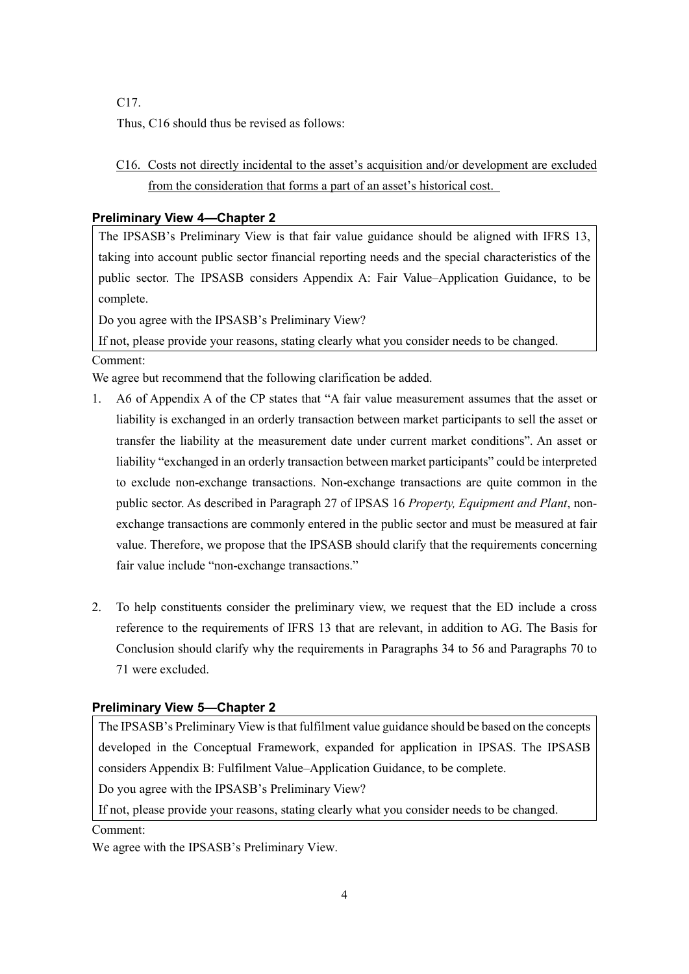C17.

Thus, C16 should thus be revised as follows:

C16. Costs not directly incidental to the asset's acquisition and/or development are excluded from the consideration that forms a part of an asset's historical cost.

# **Preliminary View 4—Chapter 2**

The IPSASB's Preliminary View is that fair value guidance should be aligned with IFRS 13, taking into account public sector financial reporting needs and the special characteristics of the public sector. The IPSASB considers Appendix A: Fair Value–Application Guidance, to be complete.

Do you agree with the IPSASB's Preliminary View?

If not, please provide your reasons, stating clearly what you consider needs to be changed. Comment:

We agree but recommend that the following clarification be added.

- 1. A6 of Appendix A of the CP states that "A fair value measurement assumes that the asset or liability is exchanged in an orderly transaction between market participants to sell the asset or transfer the liability at the measurement date under current market conditions". An asset or liability "exchanged in an orderly transaction between market participants" could be interpreted to exclude non-exchange transactions. Non-exchange transactions are quite common in the public sector. As described in Paragraph 27 of IPSAS 16 *Property, Equipment and Plant*, nonexchange transactions are commonly entered in the public sector and must be measured at fair value. Therefore, we propose that the IPSASB should clarify that the requirements concerning fair value include "non-exchange transactions."
- 2. To help constituents consider the preliminary view, we request that the ED include a cross reference to the requirements of IFRS 13 that are relevant, in addition to AG. The Basis for Conclusion should clarify why the requirements in Paragraphs 34 to 56 and Paragraphs 70 to 71 were excluded.

# **Preliminary View 5—Chapter 2**

The IPSASB's Preliminary View is that fulfilment value guidance should be based on the concepts developed in the Conceptual Framework, expanded for application in IPSAS. The IPSASB considers Appendix B: Fulfilment Value–Application Guidance, to be complete.

Do you agree with the IPSASB's Preliminary View?

If not, please provide your reasons, stating clearly what you consider needs to be changed.

## Comment:

We agree with the IPSASB's Preliminary View.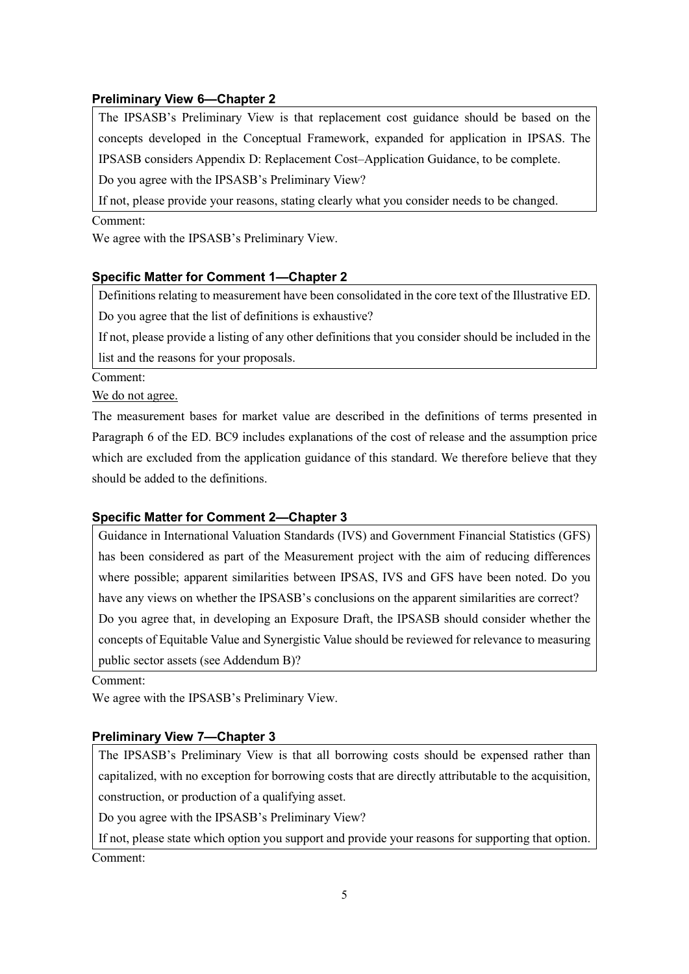# **Preliminary View 6—Chapter 2**

The IPSASB's Preliminary View is that replacement cost guidance should be based on the concepts developed in the Conceptual Framework, expanded for application in IPSAS. The IPSASB considers Appendix D: Replacement Cost–Application Guidance, to be complete. Do you agree with the IPSASB's Preliminary View?

If not, please provide your reasons, stating clearly what you consider needs to be changed.

### Comment:

We agree with the IPSASB's Preliminary View.

# **Specific Matter for Comment 1—Chapter 2**

Definitions relating to measurement have been consolidated in the core text of the Illustrative ED. Do you agree that the list of definitions is exhaustive?

If not, please provide a listing of any other definitions that you consider should be included in the list and the reasons for your proposals.

Comment:

We do not agree.

The measurement bases for market value are described in the definitions of terms presented in Paragraph 6 of the ED. BC9 includes explanations of the cost of release and the assumption price which are excluded from the application guidance of this standard. We therefore believe that they should be added to the definitions.

# **Specific Matter for Comment 2—Chapter 3**

Guidance in International Valuation Standards (IVS) and Government Financial Statistics (GFS) has been considered as part of the Measurement project with the aim of reducing differences where possible; apparent similarities between IPSAS, IVS and GFS have been noted. Do you have any views on whether the IPSASB's conclusions on the apparent similarities are correct? Do you agree that, in developing an Exposure Draft, the IPSASB should consider whether the concepts of Equitable Value and Synergistic Value should be reviewed for relevance to measuring public sector assets (see Addendum B)?

Comment:

We agree with the IPSASB's Preliminary View.

# **Preliminary View 7—Chapter 3**

The IPSASB's Preliminary View is that all borrowing costs should be expensed rather than capitalized, with no exception for borrowing costs that are directly attributable to the acquisition, construction, or production of a qualifying asset.

Do you agree with the IPSASB's Preliminary View?

If not, please state which option you support and provide your reasons for supporting that option. Comment: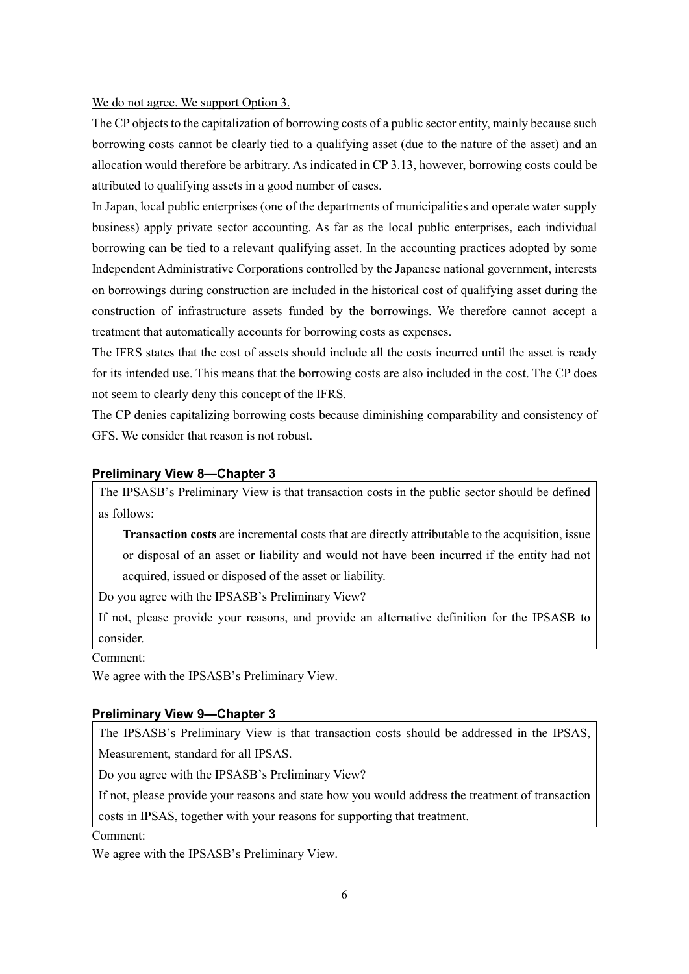#### We do not agree. We support Option 3.

The CP objects to the capitalization of borrowing costs of a public sector entity, mainly because such borrowing costs cannot be clearly tied to a qualifying asset (due to the nature of the asset) and an allocation would therefore be arbitrary. As indicated in CP 3.13, however, borrowing costs could be attributed to qualifying assets in a good number of cases.

In Japan, local public enterprises (one of the departments of municipalities and operate water supply business) apply private sector accounting. As far as the local public enterprises, each individual borrowing can be tied to a relevant qualifying asset. In the accounting practices adopted by some Independent Administrative Corporations controlled by the Japanese national government, interests on borrowings during construction are included in the historical cost of qualifying asset during the construction of infrastructure assets funded by the borrowings. We therefore cannot accept a treatment that automatically accounts for borrowing costs as expenses.

The IFRS states that the cost of assets should include all the costs incurred until the asset is ready for its intended use. This means that the borrowing costs are also included in the cost. The CP does not seem to clearly deny this concept of the IFRS.

The CP denies capitalizing borrowing costs because diminishing comparability and consistency of GFS. We consider that reason is not robust.

### **Preliminary View 8—Chapter 3**

The IPSASB's Preliminary View is that transaction costs in the public sector should be defined as follows:

**Transaction costs** are incremental costs that are directly attributable to the acquisition, issue or disposal of an asset or liability and would not have been incurred if the entity had not acquired, issued or disposed of the asset or liability.

Do you agree with the IPSASB's Preliminary View?

If not, please provide your reasons, and provide an alternative definition for the IPSASB to consider.

Comment:

We agree with the IPSASB's Preliminary View.

### **Preliminary View 9—Chapter 3**

The IPSASB's Preliminary View is that transaction costs should be addressed in the IPSAS, Measurement, standard for all IPSAS.

Do you agree with the IPSASB's Preliminary View?

If not, please provide your reasons and state how you would address the treatment of transaction

costs in IPSAS, together with your reasons for supporting that treatment.

### Comment:

We agree with the IPSASB's Preliminary View.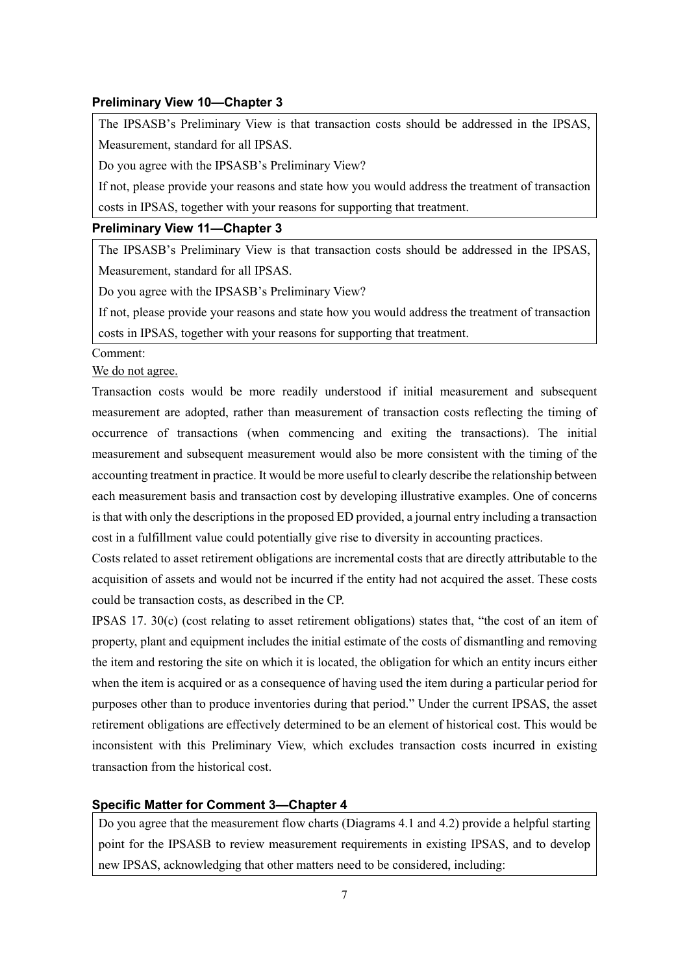### **Preliminary View 10—Chapter 3**

The IPSASB's Preliminary View is that transaction costs should be addressed in the IPSAS, Measurement, standard for all IPSAS.

Do you agree with the IPSASB's Preliminary View?

If not, please provide your reasons and state how you would address the treatment of transaction costs in IPSAS, together with your reasons for supporting that treatment.

### **Preliminary View 11—Chapter 3**

The IPSASB's Preliminary View is that transaction costs should be addressed in the IPSAS, Measurement, standard for all IPSAS.

Do you agree with the IPSASB's Preliminary View?

If not, please provide your reasons and state how you would address the treatment of transaction costs in IPSAS, together with your reasons for supporting that treatment.

Comment:

We do not agree.

Transaction costs would be more readily understood if initial measurement and subsequent measurement are adopted, rather than measurement of transaction costs reflecting the timing of occurrence of transactions (when commencing and exiting the transactions). The initial measurement and subsequent measurement would also be more consistent with the timing of the accounting treatment in practice. It would be more useful to clearly describe the relationship between each measurement basis and transaction cost by developing illustrative examples. One of concerns is that with only the descriptions in the proposed ED provided, a journal entry including a transaction cost in a fulfillment value could potentially give rise to diversity in accounting practices.

Costs related to asset retirement obligations are incremental costs that are directly attributable to the acquisition of assets and would not be incurred if the entity had not acquired the asset. These costs could be transaction costs, as described in the CP.

IPSAS 17. 30(c) (cost relating to asset retirement obligations) states that, "the cost of an item of property, plant and equipment includes the initial estimate of the costs of dismantling and removing the item and restoring the site on which it is located, the obligation for which an entity incurs either when the item is acquired or as a consequence of having used the item during a particular period for purposes other than to produce inventories during that period." Under the current IPSAS, the asset retirement obligations are effectively determined to be an element of historical cost. This would be inconsistent with this Preliminary View, which excludes transaction costs incurred in existing transaction from the historical cost.

## **Specific Matter for Comment 3—Chapter 4**

Do you agree that the measurement flow charts (Diagrams 4.1 and 4.2) provide a helpful starting point for the IPSASB to review measurement requirements in existing IPSAS, and to develop new IPSAS, acknowledging that other matters need to be considered, including: